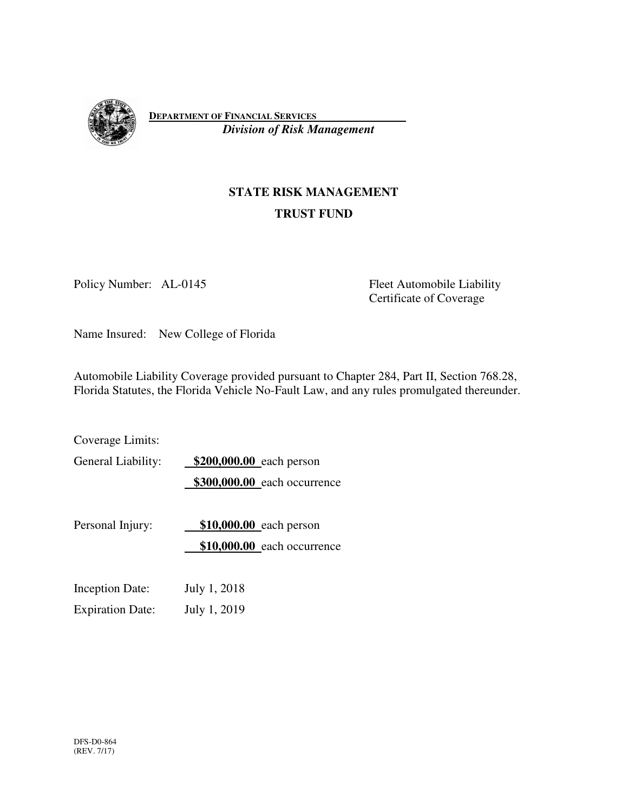

**DEPARTMENT OF FINANCIAL SERVICES**   *Division of Risk Management*

# **STATE RISK MANAGEMENT TRUST FUND**

Policy Number: AL-0145 Fleet Automobile Liability Certificate of Coverage

Name Insured: New College of Florida

Automobile Liability Coverage provided pursuant to Chapter 284, Part II, Section 768.28, Florida Statutes, the Florida Vehicle No-Fault Law, and any rules promulgated thereunder.

Coverage Limits: General Liability: **\$200,000.00** each person **\$300,000.00** each occurrence Personal Injury: **\$10,000.00** each person **\$10,000.00** each occurrence Inception Date: July 1, 2018 Expiration Date: July 1, 2019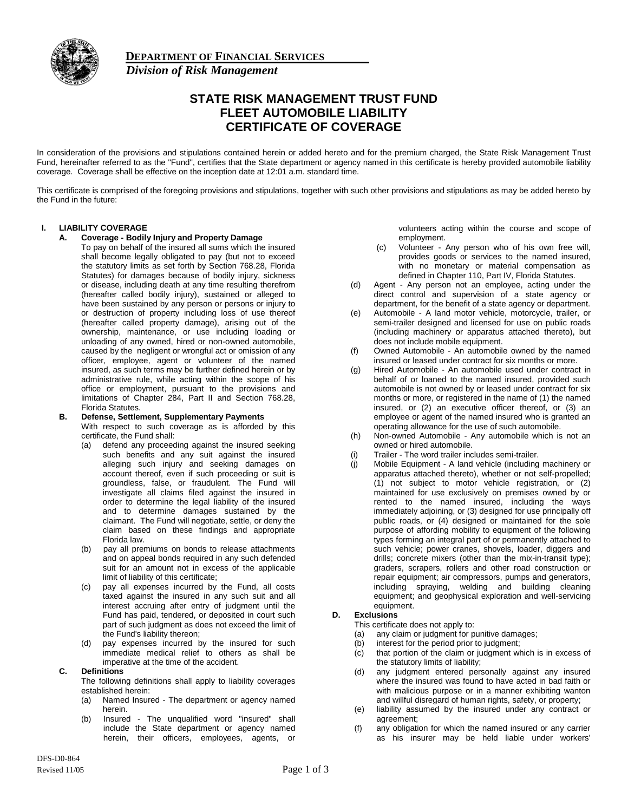

**DEPARTMENT OF FINANCIAL SERVICES**  *Division of Risk Management*

# **STATE RISK MANAGEMENT TRUST FUND FLEET AUTOMOBILE LIABILITY CERTIFICATE OF COVERAGE**

In consideration of the provisions and stipulations contained herein or added hereto and for the premium charged, the State Risk Management Trust Fund, hereinafter referred to as the "Fund", certifies that the State department or agency named in this certificate is hereby provided automobile liability coverage. Coverage shall be effective on the inception date at 12:01 a.m. standard time.

This certificate is comprised of the foregoing provisions and stipulations, together with such other provisions and stipulations as may be added hereto by the Fund in the future:

#### **I. LIABILITY COVERAGE**

**A. Coverage - Bodily Injury and Property Damage**

To pay on behalf of the insured all sums which the insured shall become legally obligated to pay (but not to exceed the statutory limits as set forth by Section 768.28, Florida Statutes) for damages because of bodily injury, sickness or disease, including death at any time resulting therefrom (hereafter called bodily injury), sustained or alleged to have been sustained by any person or persons or injury to or destruction of property including loss of use thereof (hereafter called property damage), arising out of the ownership, maintenance, or use including loading or unloading of any owned, hired or non-owned automobile, caused by the negligent or wrongful act or omission of any officer, employee, agent or volunteer of the named insured, as such terms may be further defined herein or by administrative rule, while acting within the scope of his office or employment, pursuant to the provisions and limitations of Chapter 284, Part II and Section 768.28, Florida Statutes.

- **B. Defense, Settlement, Supplementary Payments** With respect to such coverage as is afforded by this certificate, the Fund shall:
	- (a) defend any proceeding against the insured seeking such benefits and any suit against the insured alleging such injury and seeking damages on account thereof, even if such proceeding or suit is groundless, false, or fraudulent. The Fund will investigate all claims filed against the insured in order to determine the legal liability of the insured and to determine damages sustained by the claimant. The Fund will negotiate, settle, or deny the claim based on these findings and appropriate Florida law.
	- (b) pay all premiums on bonds to release attachments and on appeal bonds required in any such defended suit for an amount not in excess of the applicable limit of liability of this certificate;
	- (c) pay all expenses incurred by the Fund, all costs taxed against the insured in any such suit and all interest accruing after entry of judgment until the Fund has paid, tendered, or deposited in court such part of such judgment as does not exceed the limit of the Fund's liability thereon;
	- (d) pay expenses incurred by the insured for such immediate medical relief to others as shall be imperative at the time of the accident.

#### **C. Definitions**

The following definitions shall apply to liability coverages established herein:

- (a) Named Insured The department or agency named herein.
- (b) Insured The unqualified word "insured" shall include the State department or agency named herein, their officers, employees, agents, or

volunteers acting within the course and scope of employment.

- (c) Volunteer Any person who of his own free will, provides goods or services to the named insured, with no monetary or material compensation as defined in Chapter 110, Part IV, Florida Statutes.
- (d) Agent Any person not an employee, acting under the direct control and supervision of a state agency or department, for the benefit of a state agency or department.
- (e) Automobile A land motor vehicle, motorcycle, trailer, or semi-trailer designed and licensed for use on public roads (including machinery or apparatus attached thereto), but does not include mobile equipment.
- (f) Owned Automobile An automobile owned by the named insured or leased under contract for six months or more.
- (g) Hired Automobile An automobile used under contract in behalf of or loaned to the named insured, provided such automobile is not owned by or leased under contract for six months or more, or registered in the name of (1) the named insured, or (2) an executive officer thereof, or (3) an employee or agent of the named insured who is granted an operating allowance for the use of such automobile.
- (h) Non-owned Automobile Any automobile which is not an owned or hired automobile.
- Trailer The word trailer includes semi-trailer.
- (j) Mobile Equipment A land vehicle (including machinery or apparatus attached thereto), whether or not self-propelled; (1) not subject to motor vehicle registration, or (2) maintained for use exclusively on premises owned by or rented to the named insured, including the ways immediately adjoining, or (3) designed for use principally off public roads, or (4) designed or maintained for the sole purpose of affording mobility to equipment of the following types forming an integral part of or permanently attached to such vehicle; power cranes, shovels, loader, diggers and drills; concrete mixers (other than the mix-in-transit type); graders, scrapers, rollers and other road construction or repair equipment; air compressors, pumps and generators, including spraying, welding and building cleaning equipment; and geophysical exploration and well-servicing equipment.

# **D. Exclusions**

This certificate does not apply to:

- (a) any claim or judgment for punitive damages;
- (b) interest for the period prior to judgment;
- (c) that portion of the claim or judgment which is in excess of the statutory limits of liability;
- (d) any judgment entered personally against any insured where the insured was found to have acted in bad faith or with malicious purpose or in a manner exhibiting wanton and willful disregard of human rights, safety, or property;
- (e) liability assumed by the insured under any contract or agreement;
- (f) any obligation for which the named insured or any carrier as his insurer may be held liable under workers'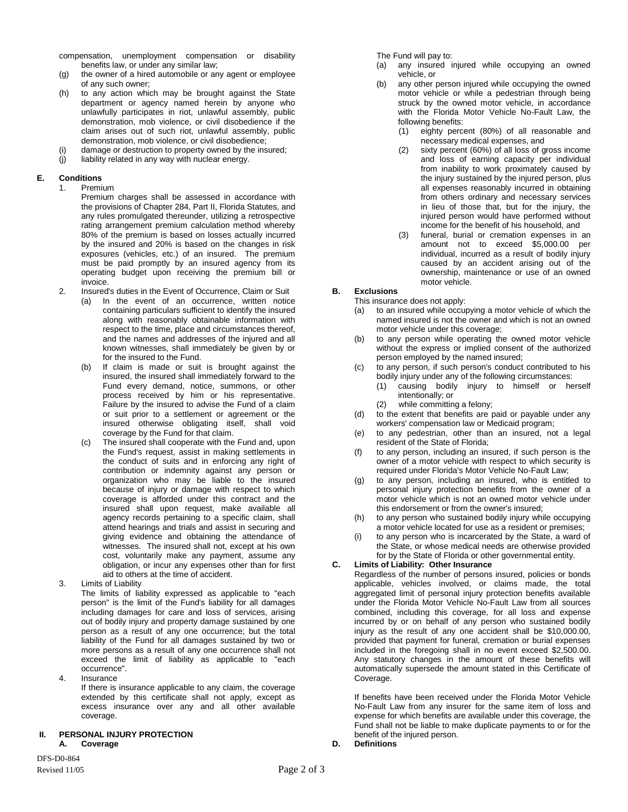compensation, unemployment compensation or disability benefits law, or under any similar law;

- (g) the owner of a hired automobile or any agent or employee of any such owner;
- (h) to any action which may be brought against the State department or agency named herein by anyone who unlawfully participates in riot, unlawful assembly, public demonstration, mob violence, or civil disobedience if the claim arises out of such riot, unlawful assembly, public demonstration, mob violence, or civil disobedience;
- (i) damage or destruction to property owned by the insured;
- (j) liability related in any way with nuclear energy.

#### **E. Conditions**

1. Premium

Premium charges shall be assessed in accordance with the provisions of Chapter 284, Part II, Florida Statutes, and any rules promulgated thereunder, utilizing a retrospective rating arrangement premium calculation method whereby 80% of the premium is based on losses actually incurred by the insured and 20% is based on the changes in risk exposures (vehicles, etc.) of an insured. The premium must be paid promptly by an insured agency from its operating budget upon receiving the premium bill or invoice.

- 2. Insured's duties in the Event of Occurrence, Claim or Suit
	- (a) In the event of an occurrence, written notice containing particulars sufficient to identify the insured along with reasonably obtainable information with respect to the time, place and circumstances thereof, and the names and addresses of the injured and all known witnesses, shall immediately be given by or for the insured to the Fund.
	- (b) If claim is made or suit is brought against the insured, the insured shall immediately forward to the Fund every demand, notice, summons, or other process received by him or his representative. Failure by the insured to advise the Fund of a claim or suit prior to a settlement or agreement or the insured otherwise obligating itself, shall void coverage by the Fund for that claim.
	- (c) The insured shall cooperate with the Fund and, upon the Fund's request, assist in making settlements in the conduct of suits and in enforcing any right of contribution or indemnity against any person or organization who may be liable to the insured because of injury or damage with respect to which coverage is afforded under this contract and the insured shall upon request, make available all agency records pertaining to a specific claim, shall attend hearings and trials and assist in securing and giving evidence and obtaining the attendance of witnesses. The insured shall not, except at his own cost, voluntarily make any payment, assume any obligation, or incur any expenses other than for first aid to others at the time of accident.
- 3. Limits of Liability

The limits of liability expressed as applicable to "each person" is the limit of the Fund's liability for all damages including damages for care and loss of services, arising out of bodily injury and property damage sustained by one person as a result of any one occurrence; but the total liability of the Fund for all damages sustained by two or more persons as a result of any one occurrence shall not exceed the limit of liability as applicable to "each occurrence".

4. Insurance If there is insurance applicable to any claim, the coverage extended by this certificate shall not apply, except as excess insurance over any and all other available coverage.

#### **II. PERSONAL INJURY PROTECTION A. Coverage**

DFS-D0-864 Revised 11/05 Page 2 of 3 The Fund will pay to:

- (a) any insured injured while occupying an owned vehicle, or
- any other person injured while occupying the owned motor vehicle or while a pedestrian through being struck by the owned motor vehicle, in accordance with the Florida Motor Vehicle No-Fault Law, the following benefits:
	- (1) eighty percent (80%) of all reasonable and necessary medical expenses, and
	- (2) sixty percent (60%) of all loss of gross income and loss of earning capacity per individual from inability to work proximately caused by the injury sustained by the injured person, plus all expenses reasonably incurred in obtaining from others ordinary and necessary services in lieu of those that, but for the injury, the injured person would have performed without income for the benefit of his household, and
	- (3) funeral, burial or cremation expenses in an amount not to exceed \$5,000.00 per individual, incurred as a result of bodily injury caused by an accident arising out of the ownership, maintenance or use of an owned motor vehicle.

# **B. Exclusions**

- This insurance does not apply:
	- (a) to an insured while occupying a motor vehicle of which the named insured is not the owner and which is not an owned motor vehicle under this coverage;
	- (b) to any person while operating the owned motor vehicle without the express or implied consent of the authorized person employed by the named insured;
	- (c) to any person, if such person's conduct contributed to his bodily injury under any of the following circumstances:
		- (1) causing bodily injury to himself or herself intentionally; or
		- (2) while committing a felony;
	- (d) to the extent that benefits are paid or payable under any workers' compensation law or Medicaid program;
	- (e) to any pedestrian, other than an insured, not a legal resident of the State of Florida;
	- (f) to any person, including an insured, if such person is the owner of a motor vehicle with respect to which security is required under Florida's Motor Vehicle No-Fault Law;
	- (g) to any person, including an insured, who is entitled to personal injury protection benefits from the owner of a motor vehicle which is not an owned motor vehicle under this endorsement or from the owner's insured;
- (h) to any person who sustained bodily injury while occupying a motor vehicle located for use as a resident or premises;
- (i) to any person who is incarcerated by the State, a ward of the State, or whose medical needs are otherwise provided for by the State of Florida or other governmental entity.

#### **C. Limits of Liability: Other Insurance**

Regardless of the number of persons insured, policies or bonds applicable, vehicles involved, or claims made, the total aggregated limit of personal injury protection benefits available under the Florida Motor Vehicle No-Fault Law from all sources combined, including this coverage, for all loss and expense incurred by or on behalf of any person who sustained bodily injury as the result of any one accident shall be \$10,000.00, provided that payment for funeral, cremation or burial expenses included in the foregoing shall in no event exceed \$2,500.00. Any statutory changes in the amount of these benefits will automatically supersede the amount stated in this Certificate of Coverage.

If benefits have been received under the Florida Motor Vehicle No-Fault Law from any insurer for the same item of loss and expense for which benefits are available under this coverage, the Fund shall not be liable to make duplicate payments to or for the benefit of the injured person.

**D. Definitions**